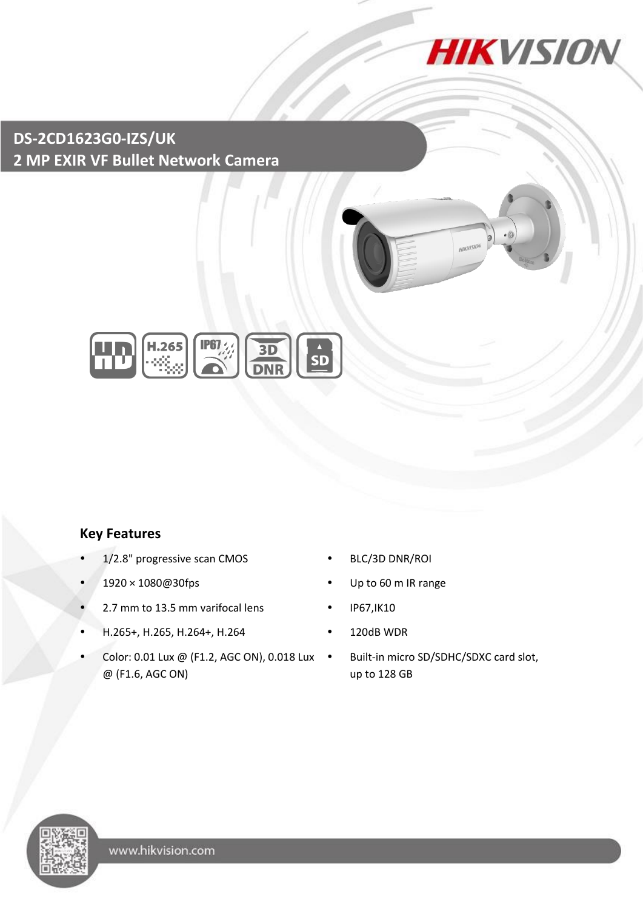

**HIKVISIL** 

# **DS-2CD1623G0-IZS/UK 2 MP EXIR VF Bullet Network Camera**



### **Key Features**

- 1/2.8" progressive scan CMOS BLC/3D DNR/ROI
- 
- 2.7 mm to 13.5 mm varifocal lens IP67, IK10
- H.265+, H.265, H.264+, H.264 120dB WDR
- Color: 0.01 Lux @ (F1.2, AGC ON), 0.018 Lux @ (F1.6, AGC ON)
- 
- 1920 × 1080@30fps Up to 60 m IR range
	-
	-
	- Built-in micro SD/SDHC/SDXC card slot, up to 128 GB

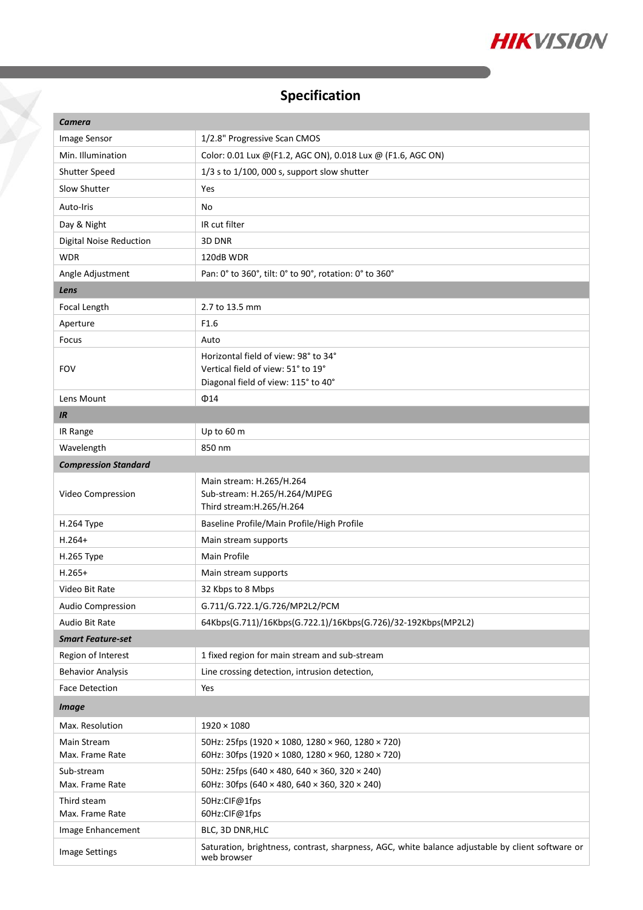

# **Specification**

Ž

| Camera                         |                                                                                                                 |  |
|--------------------------------|-----------------------------------------------------------------------------------------------------------------|--|
| Image Sensor                   | 1/2.8" Progressive Scan CMOS                                                                                    |  |
| Min. Illumination              | Color: 0.01 Lux @ (F1.2, AGC ON), 0.018 Lux @ (F1.6, AGC ON)                                                    |  |
| Shutter Speed                  | $1/3$ s to $1/100$ , 000 s, support slow shutter                                                                |  |
| Slow Shutter                   | Yes                                                                                                             |  |
| Auto-Iris                      | No                                                                                                              |  |
| Day & Night                    | IR cut filter                                                                                                   |  |
| Digital Noise Reduction        | 3D DNR                                                                                                          |  |
| <b>WDR</b>                     | 120dB WDR                                                                                                       |  |
| Angle Adjustment               | Pan: 0° to 360°, tilt: 0° to 90°, rotation: 0° to 360°                                                          |  |
| Lens                           |                                                                                                                 |  |
| Focal Length                   | 2.7 to 13.5 mm                                                                                                  |  |
| Aperture                       | F1.6                                                                                                            |  |
| Focus                          | Auto                                                                                                            |  |
|                                | Horizontal field of view: 98° to 34°                                                                            |  |
| <b>FOV</b>                     | Vertical field of view: 51° to 19°                                                                              |  |
|                                | Diagonal field of view: 115° to 40°                                                                             |  |
| Lens Mount                     | $\Phi$ 14                                                                                                       |  |
| IR                             |                                                                                                                 |  |
| IR Range                       | Up to 60 m                                                                                                      |  |
| Wavelength                     | 850 nm                                                                                                          |  |
| <b>Compression Standard</b>    |                                                                                                                 |  |
| Video Compression              | Main stream: H.265/H.264<br>Sub-stream: H.265/H.264/MJPEG<br>Third stream: H.265/H.264                          |  |
| H.264 Type                     | Baseline Profile/Main Profile/High Profile                                                                      |  |
| $H.264+$                       | Main stream supports                                                                                            |  |
| H.265 Type                     | Main Profile                                                                                                    |  |
| $H.265+$                       | Main stream supports                                                                                            |  |
| Video Bit Rate                 | 32 Kbps to 8 Mbps                                                                                               |  |
| Audio Compression              | G.711/G.722.1/G.726/MP2L2/PCM                                                                                   |  |
| Audio Bit Rate                 | 64Kbps(G.711)/16Kbps(G.722.1)/16Kbps(G.726)/32-192Kbps(MP2L2)                                                   |  |
| <b>Smart Feature-set</b>       |                                                                                                                 |  |
| Region of Interest             | 1 fixed region for main stream and sub-stream                                                                   |  |
| <b>Behavior Analysis</b>       | Line crossing detection, intrusion detection,                                                                   |  |
| <b>Face Detection</b>          | Yes                                                                                                             |  |
| <b>Image</b>                   |                                                                                                                 |  |
| Max. Resolution                | $1920 \times 1080$                                                                                              |  |
| Main Stream<br>Max. Frame Rate | 50Hz: 25fps (1920 × 1080, 1280 × 960, 1280 × 720)<br>60Hz: 30fps (1920 × 1080, 1280 × 960, 1280 × 720)          |  |
| Sub-stream<br>Max. Frame Rate  | 50Hz: 25fps (640 × 480, 640 × 360, 320 × 240)<br>60Hz: 30fps (640 × 480, 640 × 360, 320 × 240)                  |  |
| Third steam                    | 50Hz:CIF@1fps                                                                                                   |  |
| Max. Frame Rate                | 60Hz:CIF@1fps                                                                                                   |  |
| Image Enhancement              | BLC, 3D DNR, HLC                                                                                                |  |
| Image Settings                 | Saturation, brightness, contrast, sharpness, AGC, white balance adjustable by client software or<br>web browser |  |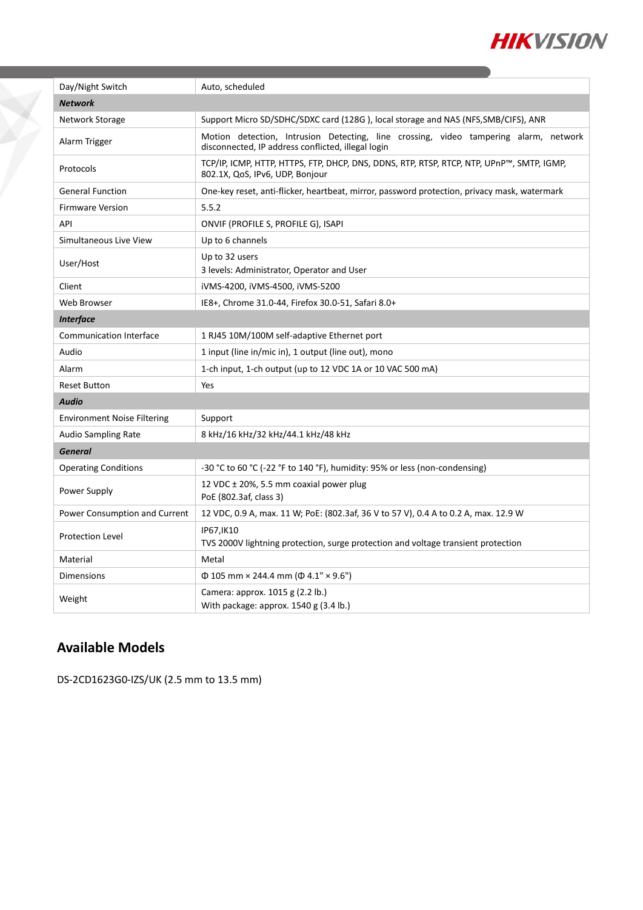

| Day/Night Switch                   | Auto, scheduled                                                                                                                            |  |
|------------------------------------|--------------------------------------------------------------------------------------------------------------------------------------------|--|
| <b>Network</b>                     |                                                                                                                                            |  |
| Network Storage                    | Support Micro SD/SDHC/SDXC card (128G), local storage and NAS (NFS, SMB/CIFS), ANR                                                         |  |
| Alarm Trigger                      | Motion detection, Intrusion Detecting, line crossing, video tampering alarm, network<br>disconnected, IP address conflicted, illegal login |  |
| Protocols                          | TCP/IP, ICMP, HTTP, HTTPS, FTP, DHCP, DNS, DDNS, RTP, RTSP, RTCP, NTP, UPnP™, SMTP, IGMP,<br>802.1X, QoS, IPv6, UDP, Bonjour               |  |
| <b>General Function</b>            | One-key reset, anti-flicker, heartbeat, mirror, password protection, privacy mask, watermark                                               |  |
| <b>Firmware Version</b>            | 5.5.2                                                                                                                                      |  |
| API                                | ONVIF (PROFILE S, PROFILE G), ISAPI                                                                                                        |  |
| Simultaneous Live View             | Up to 6 channels                                                                                                                           |  |
| User/Host                          | Up to 32 users<br>3 levels: Administrator, Operator and User                                                                               |  |
| Client                             | iVMS-4200, iVMS-4500, iVMS-5200                                                                                                            |  |
| Web Browser                        | IE8+, Chrome 31.0-44, Firefox 30.0-51, Safari 8.0+                                                                                         |  |
| <b>Interface</b>                   |                                                                                                                                            |  |
| <b>Communication Interface</b>     | 1 RJ45 10M/100M self-adaptive Ethernet port                                                                                                |  |
| Audio                              | 1 input (line in/mic in), 1 output (line out), mono                                                                                        |  |
| Alarm                              | 1-ch input, 1-ch output (up to 12 VDC 1A or 10 VAC 500 mA)                                                                                 |  |
| <b>Reset Button</b>                | Yes                                                                                                                                        |  |
| Audio                              |                                                                                                                                            |  |
| <b>Environment Noise Filtering</b> | Support                                                                                                                                    |  |
| Audio Sampling Rate                | 8 kHz/16 kHz/32 kHz/44.1 kHz/48 kHz                                                                                                        |  |
| <b>General</b>                     |                                                                                                                                            |  |
| <b>Operating Conditions</b>        | -30 °C to 60 °C (-22 °F to 140 °F), humidity: 95% or less (non-condensing)                                                                 |  |
| Power Supply                       | 12 VDC $\pm$ 20%, 5.5 mm coaxial power plug<br>PoE (802.3af, class 3)                                                                      |  |
| Power Consumption and Current      | 12 VDC, 0.9 A, max. 11 W; PoE: (802.3af, 36 V to 57 V), 0.4 A to 0.2 A, max. 12.9 W                                                        |  |
| <b>Protection Level</b>            | IP67, IK10<br>TVS 2000V lightning protection, surge protection and voltage transient protection                                            |  |
| Material                           | Metal                                                                                                                                      |  |
| Dimensions                         | $\Phi$ 105 mm × 244.4 mm ( $\Phi$ 4.1" × 9.6")                                                                                             |  |
| Weight                             | Camera: approx. 1015 g (2.2 lb.)<br>With package: approx. $1540$ g (3.4 lb.)                                                               |  |

## **Available Models**

Ž

DS-2CD1623G0-IZS/UK (2.5 mm to 13.5 mm)